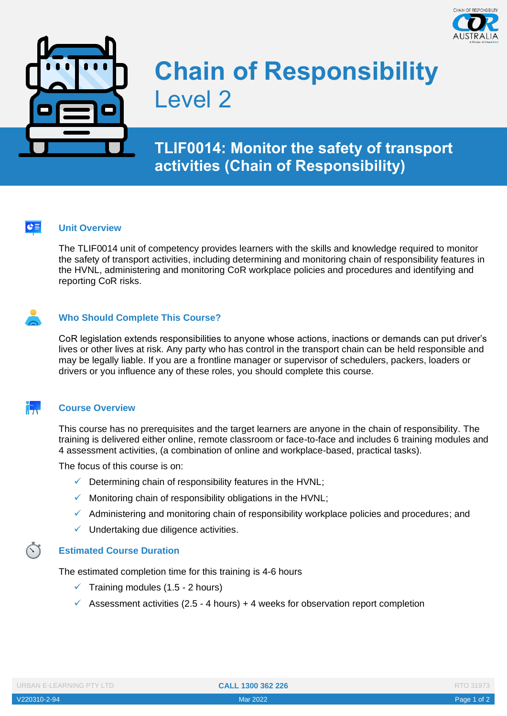



# **Chain of Responsibility**  Level 2

## **TLIF0014: Monitor the safety of transport activities (Chain of Responsibility)**

#### $|e \equiv$ **Unit Overview**

The TLIF0014 unit of competency provides learners with the skills and knowledge required to monitor the safety of transport activities, including determining and monitoring chain of responsibility features in the HVNL, administering and monitoring CoR workplace policies and procedures and identifying and reporting CoR risks.

#### **Who Should Complete This Course?**

CoR legislation extends responsibilities to anyone whose actions, inactions or demands can put driver's lives or other lives at risk. Any party who has control in the transport chain can be held responsible and may be legally liable. If you are a frontline manager or supervisor of schedulers, packers, loaders or drivers or you influence any of these roles, you should complete this course.

#### it. J **Course Overview**

This course has no prerequisites and the target learners are anyone in the chain of responsibility. The training is delivered either online, remote classroom or face-to-face and includes 6 training modules and 4 assessment activities, (a combination of online and workplace-based, practical tasks).

The focus of this course is on:

- $\checkmark$  Determining chain of responsibility features in the HVNL;
- $\checkmark$  Monitoring chain of responsibility obligations in the HVNL;
- $\checkmark$  Administering and monitoring chain of responsibility workplace policies and procedures; and
- $\checkmark$  Undertaking due diligence activities.

#### **Estimated Course Duration**

The estimated completion time for this training is 4-6 hours

- $\checkmark$  Training modules (1.5 2 hours)
- $\checkmark$  Assessment activities (2.5 4 hours) + 4 weeks for observation report completion

| <b>URBAN E-LEARNING PTY LTD</b> |  |  |  |
|---------------------------------|--|--|--|
|                                 |  |  |  |